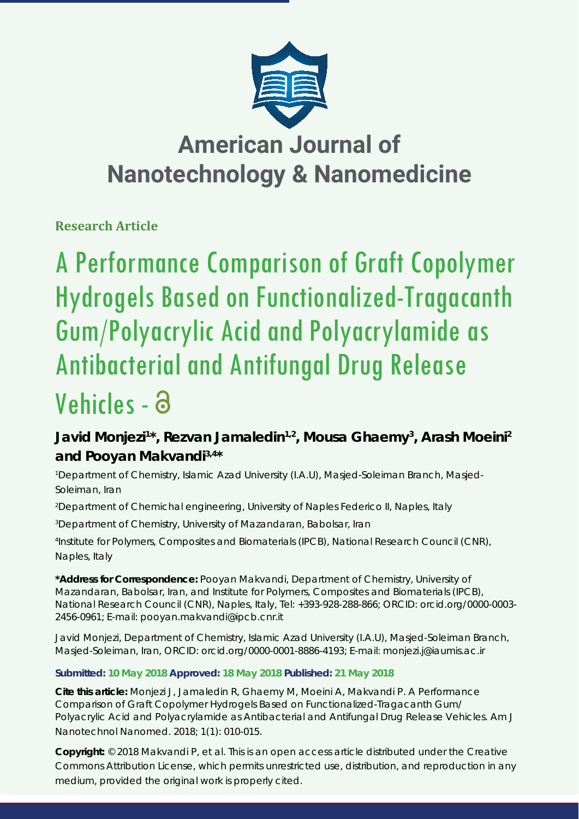

# **American Journal of Nanotechnology & Nanomedicine**

**Research Article**

# A Performance Comparison of Graft Copolymer Hydrogels Based on Functionalized-Tragacanth Gum/Polyacrylic Acid and Polyacrylamide as Antibacterial and Antifungal Drug Release Vehicles - a

## Javid Monjezi<sup>1\*</sup>, Rezvan Jamaledin<sup>1,2</sup>, Mousa Ghaemy<sup>3</sup>, Arash Moeini<sup>2</sup> **and Pooyan Makvandi3,4\***

*1 Department of Chemistry, Islamic Azad University (I.A.U), Masjed-Soleiman Branch, Masjed-Soleiman, Iran*

*2 Department of Chemichal engineering, University of Naples Federico II, Naples, Italy*

*3 Department of Chemistry, University of Mazandaran, Babolsar, Iran*

*4 Institute for Polymers, Composites and Biomaterials (IPCB), National Research Council (CNR), Naples, Italy*

**\*Address for Correspondence:** Pooyan Makvandi, Department of Chemistry, University of Mazandaran, Babolsar, Iran, and Institute for Polymers, Composites and Biomaterials (IPCB), National Research Council (CNR), Naples, Italy, Tel: +393-928-288-866; ORCID: orcid.org/0000-0003- 2456-0961; E-mail: pooyan.makvandi@ipcb.cnr.it

Javid Monjezi, Department of Chemistry, Islamic Azad University (I.A.U), Masjed-Soleiman Branch, Masjed-Soleiman, Iran, ORCID: orcid.org/0000-0001-8886-4193; E-mail: monjezi.j@iaumis.ac.ir

## **Submitted: 10 May 2018 Approved: 18 May 2018 Published: 21 May 2018**

**Cite this article:** Monjezi J, Jamaledin R, Ghaemy M, Moeini A, Makvandi P. A Performance Comparison of Graft Copolymer Hydrogels Based on Functionalized-Tragacanth Gum/ Polyacrylic Acid and Polyacrylamide as Antibacterial and Antifungal Drug Release Vehicles. Am J Nanotechnol Nanomed. 2018; 1(1): 010-015.

**Copyright:** © 2018 Makvandi P, et al. This is an open access article distributed under the Creative Commons Attribution License, which permits unrestricted use, distribution, and reproduction in any medium, provided the original work is properly cited.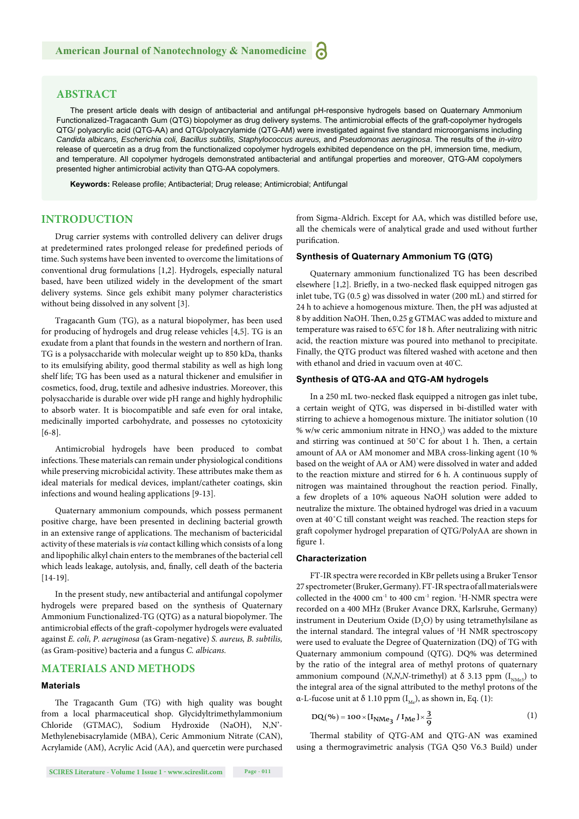#### **ABSTRACT**

The present article deals with design of antibacterial and antifungal pH-responsive hydrogels based on Quaternary Ammonium Functionalized-Tragacanth Gum (QTG) biopolymer as drug delivery systems. The antimicrobial effects of the graft-copolymer hydrogels QTG/ polyacrylic acid (QTG-AA) and QTG/polyacrylamide (QTG-AM) were investigated against five standard microorganisms including *Candida albicans, Escherichia coli, Bacillus subtilis, Staphylococcus aureus,* and *Pseudomonas aeruginosa*. The results of the *in-vitro* release of quercetin as a drug from the functionalized copolymer hydrogels exhibited dependence on the pH, immersion time, medium, and temperature. All copolymer hydrogels demonstrated antibacterial and antifungal properties and moreover, QTG-AM copolymers presented higher antimicrobial activity than QTG-AA copolymers.

Keywords: Release profile; Antibacterial; Drug release; Antimicrobial; Antifungal

### **INTRODUCTION**

Drug carrier systems with controlled delivery can deliver drugs at predetermined rates prolonged release for predefined periods of time. Such systems have been invented to overcome the limitations of conventional drug formulations [1,2]. Hydrogels, especially natural based, have been utilized widely in the development of the smart delivery systems. Since gels exhibit many polymer characteristics without being dissolved in any solvent [3].

Tragacanth Gum (TG), as a natural biopolymer, has been used for producing of hydrogels and drug release vehicles [4,5]. TG is an exudate from a plant that founds in the western and northern of Iran. TG is a polysaccharide with molecular weight up to 850 kDa, thanks to its emulsifying ability, good thermal stability as well as high long shelf life; TG has been used as a natural thickener and emulsifier in cosmetics, food, drug, textile and adhesive industries. Moreover, this polysaccharide is durable over wide pH range and highly hydrophilic to absorb water. It is biocompatible and safe even for oral intake, medicinally imported carbohydrate, and possesses no cytotoxicity [6-8].

Antimicrobial hydrogels have been produced to combat infections. These materials can remain under physiological conditions while preserving microbicidal activity. These attributes make them as ideal materials for medical devices, implant/catheter coatings, skin infections and wound healing applications [9-13].

Quaternary ammonium compounds, which possess permanent positive charge, have been presented in declining bacterial growth in an extensive range of applications. The mechanism of bactericidal activity of these materials is *via* contact killing which consists of a long and lipophilic alkyl chain enters to the membranes of the bacterial cell which leads leakage, autolysis, and, finally, cell death of the bacteria [14-19].

In the present study, new antibacterial and antifungal copolymer hydrogels were prepared based on the synthesis of Quaternary Ammonium Functionalized-TG (QTG) as a natural biopolymer. The antimicrobial effects of the graft-copolymer hydrogels were evaluated against *E. coli, P. aeruginosa* (as Gram-negative) *S. aureus, B. subtilis,*  (as Gram-positive) bacteria and a fungus *C. albicans.*

#### **MATERIALS AND METHODS**

#### **Materials**

The Tragacanth Gum (TG) with high quality was bought from a local pharmaceutical shop. Glycidyltrimethylammonium Chloride (GTMAC), Sodium Hydroxide (NaOH), N,N'- Methylenebisacrylamide (MBA), Ceric Ammonium Nitrate (CAN), Acrylamide (AM), Acrylic Acid (AA), and quercetin were purchased

from Sigma-Aldrich. Except for AA, which was distilled before use, all the chemicals were of analytical grade and used without further purification.

#### **Synthesis of Quaternary Ammonium TG (QTG)**

Quaternary ammonium functionalized TG has been described elsewhere [1,2]. Briefly, in a two-necked flask equipped nitrogen gas inlet tube, TG (0.5 g) was dissolved in water (200 mL) and stirred for 24 h to achieve a homogenous mixture. Then, the pH was adjusted at 8 by addition NaOH. Then, 0.25 g GTMAC was added to mixture and temperature was raised to 65°C for 18 h. After neutralizing with nitric acid, the reaction mixture was poured into methanol to precipitate. Finally, the QTG product was filtered washed with acetone and then with ethanol and dried in vacuum oven at 40° C.

#### **Synthesis of QTG-AA and QTG-AM hydrogels**

In a 250 mL two-necked flask equipped a nitrogen gas inlet tube, a certain weight of QTG, was dispersed in bi-distilled water with stirring to achieve a homogenous mixture. The initiator solution (10 % w/w ceric ammonium nitrate in  $\text{HNO}_3$ ) was added to the mixture and stirring was continued at  $50^{\circ}$ C for about 1 h. Then, a certain amount of AA or AM monomer and MBA cross-linking agent (10 % based on the weight of AA or AM) were dissolved in water and added to the reaction mixture and stirred for 6 h. A continuous supply of nitrogen was maintained throughout the reaction period. Finally, a few droplets of a 10% aqueous NaOH solution were added to neutralize the mixture. The obtained hydrogel was dried in a vacuum oven at 40°C till constant weight was reached. The reaction steps for graft copolymer hydrogel preparation of QTG/PolyAA are shown in figure 1.

#### **Characterization**

FT-IR spectra were recorded in KBr pellets using a Bruker Tensor 27 spectrometer (Bruker, Germany). FT-IR spectra of all materials were collected in the 4000  $cm^{-1}$  to 400  $cm^{-1}$  region.  $H-NMR$  spectra were recorded on a 400 MHz (Bruker Avance DRX, Karlsruhe, Germany) instrument in Deuterium Oxide  $(D_2O)$  by using tetramethylsilane as the internal standard. The integral values of <sup>1</sup>H NMR spectroscopy were used to evaluate the Degree of Quaternization (DQ) of TG with Quaternary ammonium compound (QTG). DQ% was determined by the ratio of the integral area of methyl protons of quaternary ammonium compound  $(N, N, N$ -trimethyl) at  $\delta$  3.13 ppm  $(I_{N, M, 2})$  to the integral area of the signal attributed to the methyl protons of the α-L-fucose unit at δ 1.10 ppm  $(I_M)$ , as shown in, Eq. (1):

$$
DQ(\%)=100 \times [I_{NMe_3} / I_{Me}] \times \frac{3}{9}
$$
 (1)

Thermal stability of QTG-AM and QTG-AN was examined using a thermogravimetric analysis (TGA Q50 V6.3 Build) under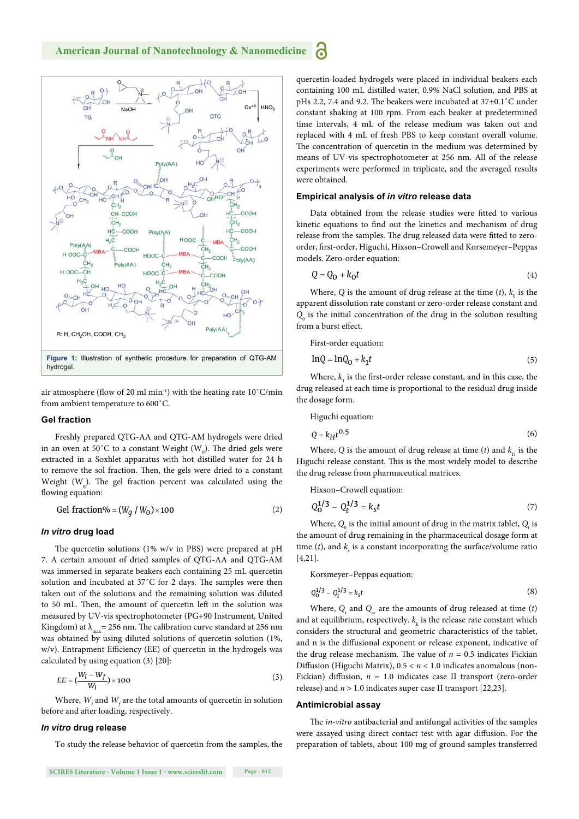

air atmosphere (flow of 20 ml min<sup>-1</sup>) with the heating rate  $10^{\circ}$ C/min from ambient temperature to 600˚C.

#### **Gel fraction**

Freshly prepared QTG-AA and QTG-AM hydrogels were dried in an oven at 50°C to a constant Weight ( $\rm W_{o}$ ). The dried gels were extracted in a Soxhlet apparatus with hot distilled water for 24 h to remove the sol fraction. Then, the gels were dried to a constant Weight  $(W_g)$ . The gel fraction percent was calculated using the flowing equation:

$$
Gel fraction\% = (W_g / W_0) \times 100
$$
 (2)

#### *In vitro* **drug load**

The quercetin solutions (1%  $w/v$  in PBS) were prepared at pH 7. A certain amount of dried samples of QTG-AA and QTG-AM was immersed in separate beakers each containing 25 mL quercetin solution and incubated at 37°C for 2 days. The samples were then taken out of the solutions and the remaining solution was diluted to 50 mL. Then, the amount of quercetin left in the solution was measured by UV-vis spectrophotometer (PG+90 Instrument, United Kingdom) at  $\lambda_{\rm max}$  = 256 nm. The calibration curve standard at 256 nm was obtained by using diluted solutions of quercetin solution (1%, w/v). Entrapment Efficiency (EE) of quercetin in the hydrogels was calculated by using equation (3) [20]:

$$
EE = (\frac{W_i - W_f}{W_i}) \times 100
$$
 (3)

Where,  $W_i$  and  $W_f$  are the total amounts of quercetin in solution before and after loading, respectively.

#### *In vitro* **drug release**

To study the release behavior of quercetin from the samples, the

quercetin-loaded hydrogels were placed in individual beakers each containing 100 mL distilled water, 0.9% NaCl solution, and PBS at pHs 2.2, 7.4 and 9.2. The beakers were incubated at 37±0.1°C under constant shaking at 100 rpm. From each beaker at predetermined time intervals, 4 mL of the release medium was taken out and replaced with 4 mL of fresh PBS to keep constant overall volume. The concentration of quercetin in the medium was determined by means of UV-vis spectrophotometer at 256 nm. All of the release experiments were performed in triplicate, and the averaged results were obtained.

#### **Empirical analysis of** *in vitro* **release data**

Data obtained from the release studies were fitted to various kinetic equations to find out the kinetics and mechanism of drug release from the samples. The drug released data were fitted to zeroorder, first-order, Higuchi, Hixson-Crowell and Korsemeyer-Peppas models. Zero-order equation:

$$
Q = Q_0 + k_0 t \tag{4}
$$

Where, *Q* is the amount of drug release at the time  $(t)$ ,  $k_0$  is the apparent dissolution rate constant or zero-order release constant and  $Q_0$  is the initial concentration of the drug in the solution resulting from a burst effect.

First-order equation:

**P** 

$$
lnQ = lnQ_0 + k_1t
$$
 (5)

Where,  $k_{1}$  is the first-order release constant, and in this case, the drug released at each time is proportional to the residual drug inside the dosage form.

Higuchi equation:

$$
Q = k_H t^{0.5}
$$
 (6)

Where, *Q* is the amount of drug release at time (*t*) and  $k<sub>H</sub>$  is the Higuchi release constant. This is the most widely model to describe the drug release from pharmaceutical matrices.

Hixson–Crowell equation:

$$
Q_0^{1/3} - Q_t^{1/3} = k_s t \tag{7}
$$

Where,  $Q_0$  is the initial amount of drug in the matrix tablet,  $Q_t$  is the amount of drug remaining in the pharmaceutical dosage form at time  $(t)$ , and  $k_s$  is a constant incorporating the surface/volume ratio [4,21].

Korsmeyer–Peppas equation:

$$
Q_0^{1/3} - Q_t^{1/3} = k_s t \tag{8}
$$

Where,  $Q_t$  and  $Q_\infty$  are the amounts of drug released at time (*t*) and at equilibrium, respectively.  $k_{k}$  is the release rate constant which considers the structural and geometric characteristics of the tablet, and n is the diffusional exponent or release exponent, indicative of the drug release mechanism. The value of  $n = 0.5$  indicates Fickian Diffusion (Higuchi Matrix),  $0.5 < n < 1.0$  indicates anomalous (non-Fickian) diffusion,  $n = 1.0$  indicates case II transport (zero-order release) and *n* > 1.0 indicates super case II transport [22,23].

#### **Antimicrobial assay**

The *in-vitro* antibacterial and antifungal activities of the samples were assayed using direct contact test with agar diffusion. For the preparation of tablets, about 100 mg of ground samples transferred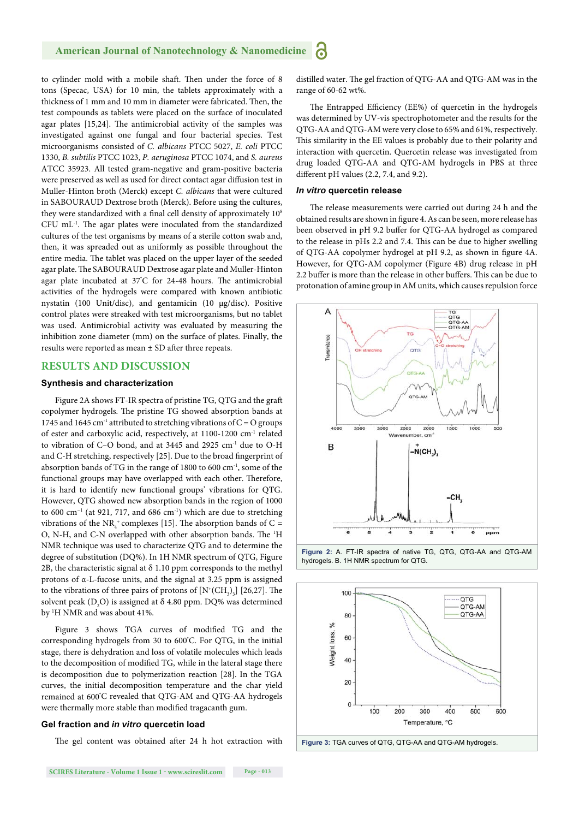#### **American Journal of Nanotechnology & Nanomedicine** Я

to cylinder mold with a mobile shaft. Then under the force of 8 tons (Specac, USA) for 10 min, the tablets approximately with a thickness of 1 mm and 10 mm in diameter were fabricated. Then, the test compounds as tablets were placed on the surface of inoculated agar plates [15,24]. The antimicrobial activity of the samples was investigated against one fungal and four bacterial species. Test microorganisms consisted of *C. albicans* PTCC 5027, *E. coli* PTCC 1330, *B. subtilis* PTCC 1023, *P. aeruginosa* PTCC 1074, and *S. aureus* ATCC 35923. All tested gram-negative and gram-positive bacteria were preserved as well as used for direct contact agar diffusion test in Muller-Hinton broth (Merck) except *C. albicans* that were cultured in SABOURAUD Dextrose broth (Merck). Before using the cultures, they were standardized with a final cell density of approximately 10<sup>8</sup> CFU mL<sup>-1</sup>. The agar plates were inoculated from the standardized cultures of the test organisms by means of a sterile cotton swab and, then, it was spreaded out as uniformly as possible throughout the entire media. The tablet was placed on the upper layer of the seeded agar plate. The SABOURAUD Dextrose agar plate and Muller-Hinton agar plate incubated at 37°C for 24-48 hours. The antimicrobial activities of the hydrogels were compared with known antibiotic nystatin (100 Unit/disc), and gentamicin (10 μg/disc). Positive control plates were streaked with test microorganisms, but no tablet was used. Antimicrobial activity was evaluated by measuring the inhibition zone diameter (mm) on the surface of plates. Finally, the results were reported as mean  $\pm$  SD after three repeats.

#### **RESULTS AND DISCUSSION**

#### **Synthesis and characterization**

Figure 2A shows FT-IR spectra of pristine TG, QTG and the graft copolymer hydrogels. The pristine TG showed absorption bands at 1745 and 1645 cm<sup>-1</sup> attributed to stretching vibrations of  $C = O$  groups of ester and carboxylic acid, respectively, at 1100-1200 cm-1 related to vibration of C–O bond, and at 3445 and 2925 cm<sup>-1</sup> due to O-H and C-H stretching, respectively [25]. Due to the broad fingerprint of absorption bands of TG in the range of 1800 to 600 cm-1, some of the functional groups may have overlapped with each other. Therefore, it is hard to identify new functional groups' vibrations for QTG. However, QTG showed new absorption bands in the region of 1000 to 600 cm<sup>-1</sup> (at 921, 717, and 686 cm<sup>-1</sup>) which are due to stretching vibrations of the  $NR_4^+$  complexes [15]. The absorption bands of C = O, N-H, and C-N overlapped with other absorption bands. The <sup>1</sup>H NMR technique was used to characterize QTG and to determine the degree of substitution (DQ%). In 1H NMR spectrum of QTG, Figure 2B, the characteristic signal at  $\delta$  1.10 ppm corresponds to the methyl protons of α-L-fucose units, and the signal at 3.25 ppm is assigned to the vibrations of three pairs of protons of  $[N^{\ast}(CH_{3})_{3}]$  [26,27]. The solvent peak (D<sub>2</sub>O) is assigned at  $\delta$  4.80 ppm. DQ% was determined by 1 H NMR and was about 41%.

Figure 3 shows TGA curves of modified TG and the corresponding hydrogels from 30 to 600° C. For QTG, in the initial stage, there is dehydration and loss of volatile molecules which leads to the decomposition of modified TG, while in the lateral stage there is decomposition due to polymerization reaction [28]. In the TGA curves, the initial decomposition temperature and the char yield remained at 600° C revealed that QTG-AM and QTG-AA hydrogels were thermally more stable than modified tragacanth gum.

#### **Gel fraction and** *in vitro* **quercetin load**

The gel content was obtained after 24 h hot extraction with

distilled water. The gel fraction of QTG-AA and QTG-AM was in the range of 60-62 wt%.

The Entrapped Efficiency (EE%) of quercetin in the hydrogels was determined by UV-vis spectrophotometer and the results for the QTG-AA and QTG-AM were very close to 65% and 61%, respectively. This similarity in the EE values is probably due to their polarity and interaction with quercetin. Quercetin release was investigated from drug loaded QTG-AA and QTG-AM hydrogels in PBS at three different pH values  $(2.2, 7.4,$  and  $9.2)$ .

#### *In vitro* **quercetin release**

The release measurements were carried out during 24 h and the obtained results are shown in figure 4. As can be seen, more release has been observed in pH 9.2 buffer for QTG-AA hydrogel as compared to the release in pHs 2.2 and 7.4. This can be due to higher swelling of QTG-AA copolymer hydrogel at pH 9.2, as shown in figure 4A. However, for QTG-AM copolymer (Figure 4B) drug release in pH 2.2 buffer is more than the release in other buffers. This can be due to protonation of amine group in AM units, which causes repulsion force







**Figure 3:** TGA curves of QTG, QTG-AA and QTG-AM hydrogels.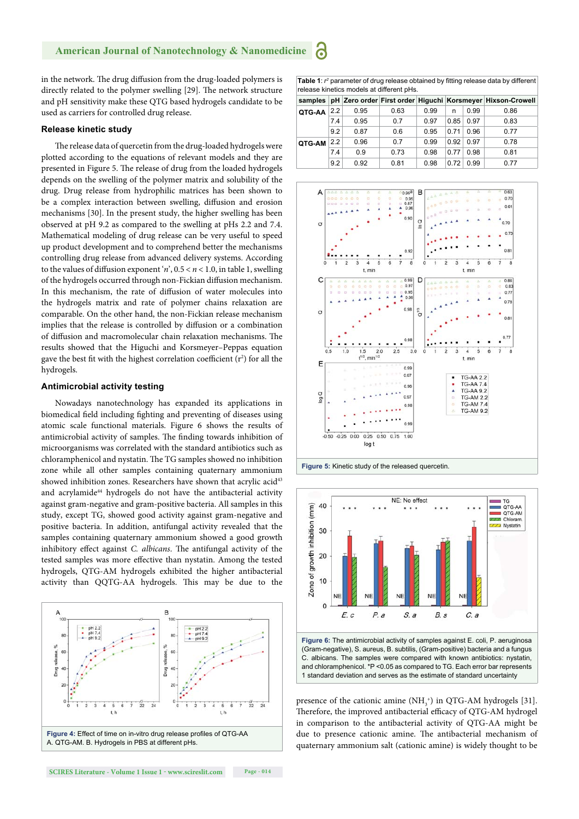#### **American Journal of Nanotechnology & Nanomedicine** Ъ

in the network. The drug diffusion from the drug-loaded polymers is directly related to the polymer swelling [29]. The network structure and pH sensitivity make these QTG based hydrogels candidate to be used as carriers for controlled drug release.

#### **Release kinetic study**

The release data of quercetin from the drug-loaded hydrogels were plotted according to the equations of relevant models and they are presented in Figure 5. The release of drug from the loaded hydrogels depends on the swelling of the polymer matrix and solubility of the drug. Drug release from hydrophilic matrices has been shown to be a complex interaction between swelling, diffusion and erosion mechanisms [30]. In the present study, the higher swelling has been observed at pH 9.2 as compared to the swelling at pHs 2.2 and 7.4. Mathematical modeling of drug release can be very useful to speed up product development and to comprehend better the mechanisms controlling drug release from advanced delivery systems. According to the values of diffusion exponent '*n*',  $0.5 < n < 1.0$ , in table 1, swelling of the hydrogels occurred through non-Fickian diffusion mechanism. In this mechanism, the rate of diffusion of water molecules into the hydrogels matrix and rate of polymer chains relaxation are comparable. On the other hand, the non-Fickian release mechanism implies that the release is controlled by diffusion or a combination of diffusion and macromolecular chain relaxation mechanisms. The results showed that the Higuchi and Korsmeyer–Peppas equation gave the best fit with the highest correlation coefficient  $(r^2)$  for all the hydrogels.

#### **Antimicrobial activity testing**

Nowadays nanotechnology has expanded its applications in biomedical field including fighting and preventing of diseases using atomic scale functional materials. Figure 6 shows the results of antimicrobial activity of samples. The finding towards inhibition of microorganisms was correlated with the standard antibiotics such as chloramphenicol and nystatin. The TG samples showed no inhibition zone while all other samples containing quaternary ammonium showed inhibition zones. Researchers have shown that acrylic acid<sup>43</sup> and acrylamide<sup>44</sup> hydrogels do not have the antibacterial activity against gram-negative and gram-positive bacteria. All samples in this study, except TG, showed good activity against gram-negative and positive bacteria. In addition, antifungal activity revealed that the samples containing quaternary ammonium showed a good growth inhibitory effect against *C. albicans*. The antifungal activity of the tested samples was more effective than nystatin. Among the tested hydrogels, QTG-AM hydrogels exhibited the higher antibacterial activity than QQTG-AA hydrogels. This may be due to the



Table 1:  $r^2$  parameter of drug release obtained by fitting release data by different release kinetics models at different pHs.

| samples |     |      |      |      |      |      | pH Zero order First order Higuchi Korsmeyer Hixson-Crowell |
|---------|-----|------|------|------|------|------|------------------------------------------------------------|
| QTG-AA  | 2.2 | 0.95 | 0.63 | 0.99 | n    | 0.99 | 0.86                                                       |
|         | 7.4 | 0.95 | 0.7  | 0.97 | 0.85 | 0.97 | 0.83                                                       |
|         | 9.2 | 0.87 | 0.6  | 0.95 | 0.71 | 0.96 | 0.77                                                       |
| QTG-AM  | 2.2 | 0.96 | 0.7  | 0.99 | 0.92 | 0.97 | 0.78                                                       |
|         | 7.4 | 0.9  | 0.73 | 0.98 | 0.77 | 0.98 | 0.81                                                       |
|         | 9.2 | 0.92 | 0.81 | 0.98 | 0.72 | 0.99 | 0.77                                                       |







(Gram-negative), S. aureus, B. subtilis, (Gram-positive) bacteria and a fungus C. albicans. The samples were compared with known antibiotics: nystatin, and chloramphenicol. \*P <0.05 as compared to TG. Each error bar represents 1 standard deviation and serves as the estimate of standard uncertainty

presence of the cationic amine  $(NH<sub>3</sub><sup>+</sup>)$  in QTG-AM hydrogels [31]. Therefore, the improved antibacterial efficacy of QTG-AM hydrogel in comparison to the antibacterial activity of QTG-AA might be due to presence cationic amine. The antibacterial mechanism of quaternary ammonium salt (cationic amine) is widely thought to be